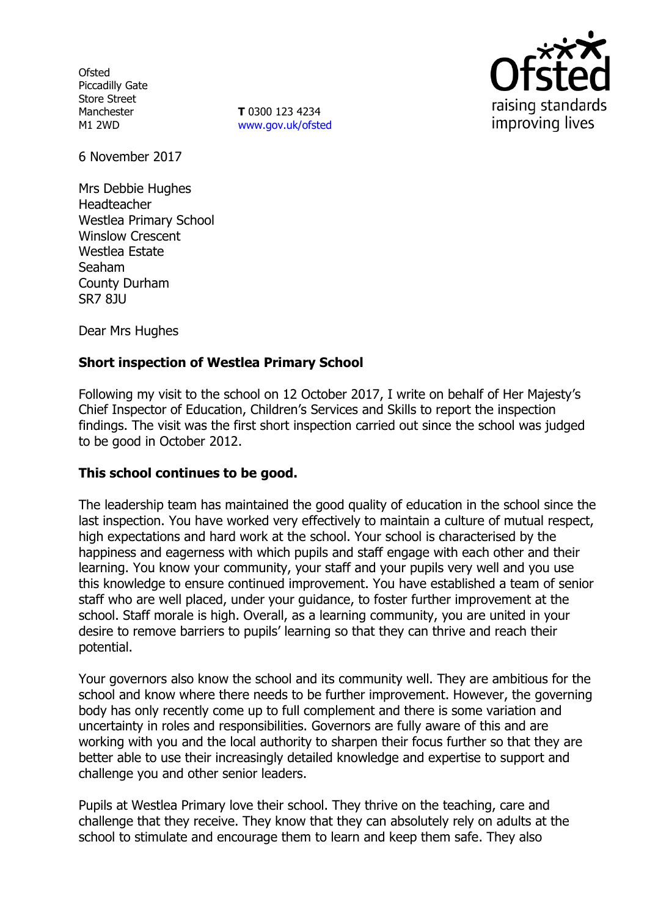**Ofsted** Piccadilly Gate Store Street Manchester M1 2WD

**T** 0300 123 4234 [www.gov.uk/ofsted](http://www.gov.uk/ofsted)



6 November 2017

Mrs Debbie Hughes Headteacher Westlea Primary School Winslow Crescent Westlea Estate Seaham County Durham SR7 8JU

Dear Mrs Hughes

### **Short inspection of Westlea Primary School**

Following my visit to the school on 12 October 2017, I write on behalf of Her Majesty's Chief Inspector of Education, Children's Services and Skills to report the inspection findings. The visit was the first short inspection carried out since the school was judged to be good in October 2012.

### **This school continues to be good.**

The leadership team has maintained the good quality of education in the school since the last inspection. You have worked very effectively to maintain a culture of mutual respect, high expectations and hard work at the school. Your school is characterised by the happiness and eagerness with which pupils and staff engage with each other and their learning. You know your community, your staff and your pupils very well and you use this knowledge to ensure continued improvement. You have established a team of senior staff who are well placed, under your guidance, to foster further improvement at the school. Staff morale is high. Overall, as a learning community, you are united in your desire to remove barriers to pupils' learning so that they can thrive and reach their potential.

Your governors also know the school and its community well. They are ambitious for the school and know where there needs to be further improvement. However, the governing body has only recently come up to full complement and there is some variation and uncertainty in roles and responsibilities. Governors are fully aware of this and are working with you and the local authority to sharpen their focus further so that they are better able to use their increasingly detailed knowledge and expertise to support and challenge you and other senior leaders.

Pupils at Westlea Primary love their school. They thrive on the teaching, care and challenge that they receive. They know that they can absolutely rely on adults at the school to stimulate and encourage them to learn and keep them safe. They also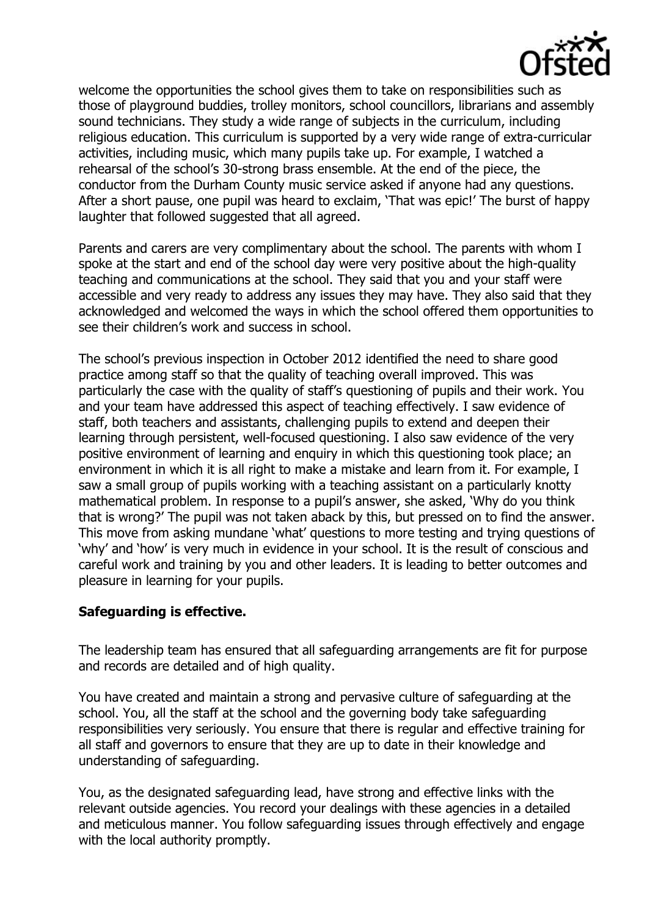

welcome the opportunities the school gives them to take on responsibilities such as those of playground buddies, trolley monitors, school councillors, librarians and assembly sound technicians. They study a wide range of subjects in the curriculum, including religious education. This curriculum is supported by a very wide range of extra-curricular activities, including music, which many pupils take up. For example, I watched a rehearsal of the school's 30-strong brass ensemble. At the end of the piece, the conductor from the Durham County music service asked if anyone had any questions. After a short pause, one pupil was heard to exclaim, 'That was epic!' The burst of happy laughter that followed suggested that all agreed.

Parents and carers are very complimentary about the school. The parents with whom I spoke at the start and end of the school day were very positive about the high-quality teaching and communications at the school. They said that you and your staff were accessible and very ready to address any issues they may have. They also said that they acknowledged and welcomed the ways in which the school offered them opportunities to see their children's work and success in school.

The school's previous inspection in October 2012 identified the need to share good practice among staff so that the quality of teaching overall improved. This was particularly the case with the quality of staff's questioning of pupils and their work. You and your team have addressed this aspect of teaching effectively. I saw evidence of staff, both teachers and assistants, challenging pupils to extend and deepen their learning through persistent, well-focused questioning. I also saw evidence of the very positive environment of learning and enquiry in which this questioning took place; an environment in which it is all right to make a mistake and learn from it. For example, I saw a small group of pupils working with a teaching assistant on a particularly knotty mathematical problem. In response to a pupil's answer, she asked, 'Why do you think that is wrong?' The pupil was not taken aback by this, but pressed on to find the answer. This move from asking mundane 'what' questions to more testing and trying questions of 'why' and 'how' is very much in evidence in your school. It is the result of conscious and careful work and training by you and other leaders. It is leading to better outcomes and pleasure in learning for your pupils.

### **Safeguarding is effective.**

The leadership team has ensured that all safeguarding arrangements are fit for purpose and records are detailed and of high quality.

You have created and maintain a strong and pervasive culture of safeguarding at the school. You, all the staff at the school and the governing body take safeguarding responsibilities very seriously. You ensure that there is regular and effective training for all staff and governors to ensure that they are up to date in their knowledge and understanding of safeguarding.

You, as the designated safeguarding lead, have strong and effective links with the relevant outside agencies. You record your dealings with these agencies in a detailed and meticulous manner. You follow safeguarding issues through effectively and engage with the local authority promptly.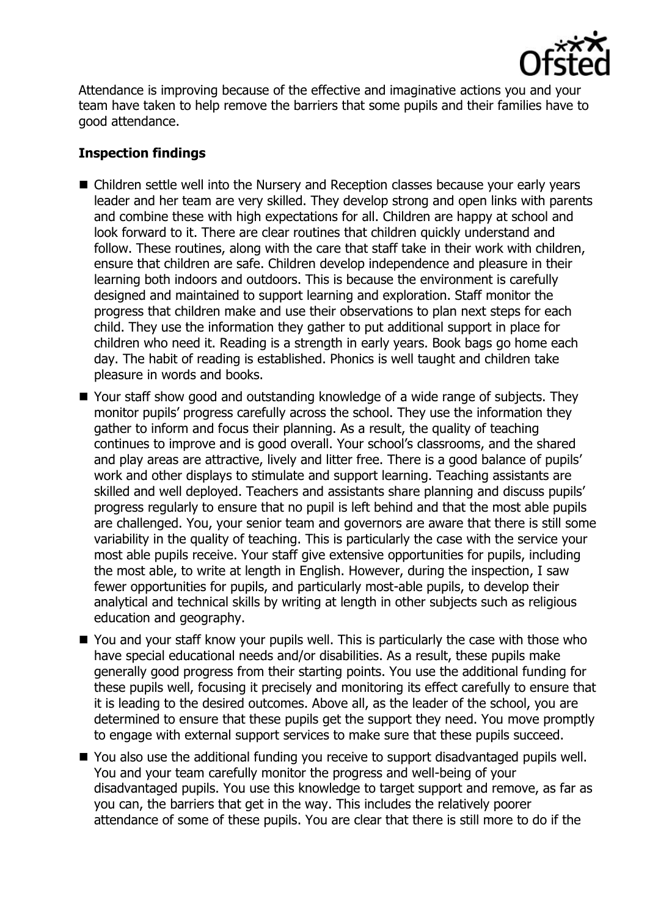

Attendance is improving because of the effective and imaginative actions you and your team have taken to help remove the barriers that some pupils and their families have to good attendance.

## **Inspection findings**

- Children settle well into the Nursery and Reception classes because your early years leader and her team are very skilled. They develop strong and open links with parents and combine these with high expectations for all. Children are happy at school and look forward to it. There are clear routines that children quickly understand and follow. These routines, along with the care that staff take in their work with children, ensure that children are safe. Children develop independence and pleasure in their learning both indoors and outdoors. This is because the environment is carefully designed and maintained to support learning and exploration. Staff monitor the progress that children make and use their observations to plan next steps for each child. They use the information they gather to put additional support in place for children who need it. Reading is a strength in early years. Book bags go home each day. The habit of reading is established. Phonics is well taught and children take pleasure in words and books.
- Your staff show good and outstanding knowledge of a wide range of subjects. They monitor pupils' progress carefully across the school. They use the information they gather to inform and focus their planning. As a result, the quality of teaching continues to improve and is good overall. Your school's classrooms, and the shared and play areas are attractive, lively and litter free. There is a good balance of pupils' work and other displays to stimulate and support learning. Teaching assistants are skilled and well deployed. Teachers and assistants share planning and discuss pupils' progress regularly to ensure that no pupil is left behind and that the most able pupils are challenged. You, your senior team and governors are aware that there is still some variability in the quality of teaching. This is particularly the case with the service your most able pupils receive. Your staff give extensive opportunities for pupils, including the most able, to write at length in English. However, during the inspection, I saw fewer opportunities for pupils, and particularly most-able pupils, to develop their analytical and technical skills by writing at length in other subjects such as religious education and geography.
- You and your staff know your pupils well. This is particularly the case with those who have special educational needs and/or disabilities. As a result, these pupils make generally good progress from their starting points. You use the additional funding for these pupils well, focusing it precisely and monitoring its effect carefully to ensure that it is leading to the desired outcomes. Above all, as the leader of the school, you are determined to ensure that these pupils get the support they need. You move promptly to engage with external support services to make sure that these pupils succeed.
- You also use the additional funding you receive to support disadvantaged pupils well. You and your team carefully monitor the progress and well-being of your disadvantaged pupils. You use this knowledge to target support and remove, as far as you can, the barriers that get in the way. This includes the relatively poorer attendance of some of these pupils. You are clear that there is still more to do if the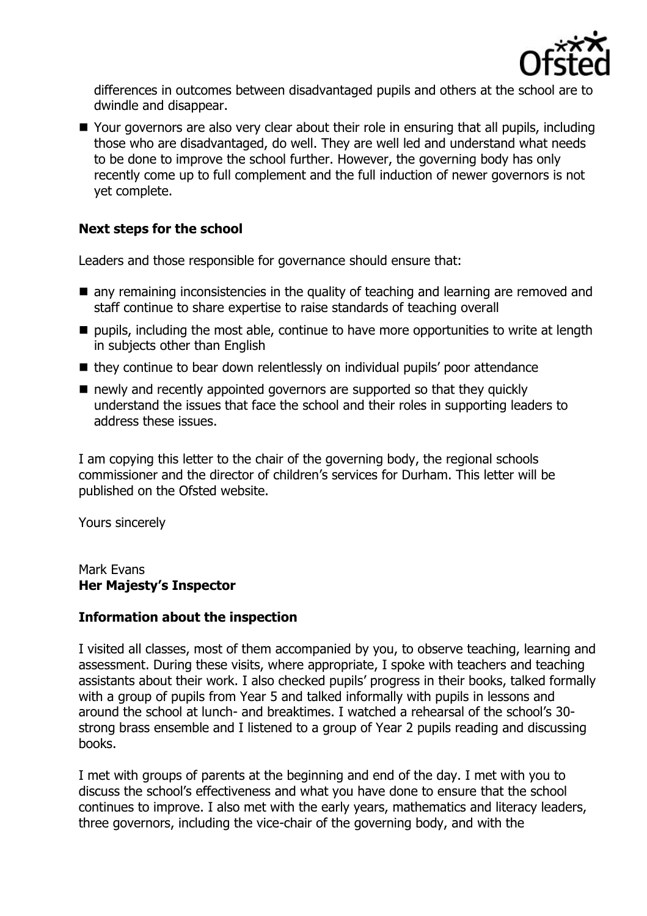

differences in outcomes between disadvantaged pupils and others at the school are to dwindle and disappear.

■ Your governors are also very clear about their role in ensuring that all pupils, including those who are disadvantaged, do well. They are well led and understand what needs to be done to improve the school further. However, the governing body has only recently come up to full complement and the full induction of newer governors is not yet complete.

# **Next steps for the school**

Leaders and those responsible for governance should ensure that:

- $\blacksquare$  any remaining inconsistencies in the quality of teaching and learning are removed and staff continue to share expertise to raise standards of teaching overall
- pupils, including the most able, continue to have more opportunities to write at length in subjects other than English
- $\blacksquare$  they continue to bear down relentlessly on individual pupils' poor attendance
- newly and recently appointed governors are supported so that they quickly understand the issues that face the school and their roles in supporting leaders to address these issues.

I am copying this letter to the chair of the governing body, the regional schools commissioner and the director of children's services for Durham. This letter will be published on the Ofsted website.

Yours sincerely

Mark Evans **Her Majesty's Inspector**

### **Information about the inspection**

I visited all classes, most of them accompanied by you, to observe teaching, learning and assessment. During these visits, where appropriate, I spoke with teachers and teaching assistants about their work. I also checked pupils' progress in their books, talked formally with a group of pupils from Year 5 and talked informally with pupils in lessons and around the school at lunch- and breaktimes. I watched a rehearsal of the school's 30 strong brass ensemble and I listened to a group of Year 2 pupils reading and discussing books.

I met with groups of parents at the beginning and end of the day. I met with you to discuss the school's effectiveness and what you have done to ensure that the school continues to improve. I also met with the early years, mathematics and literacy leaders, three governors, including the vice-chair of the governing body, and with the